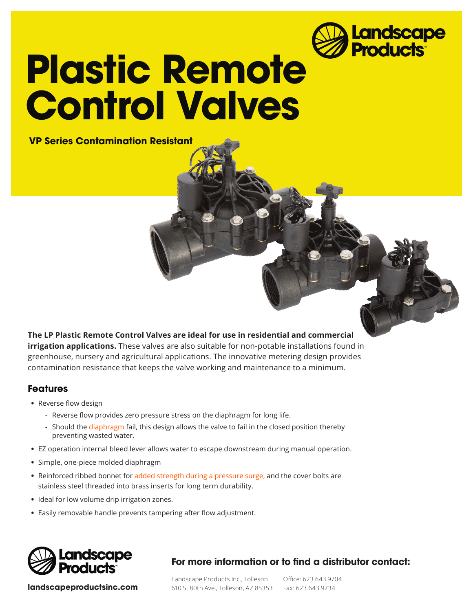

# **Plastic Remote Control Valves**

 **VP Series Contamination Resistant**

**The LP Plastic Remote Control Valves are ideal for use in residential and commercial irrigation applications.** These valves are also suitable for non-potable installations found in greenhouse, nursery and agricultural applications. The innovative metering design provides contamination resistance that keeps the valve working and maintenance to a minimum.

#### **Features**

- **•** Reverse flow design
	- Reverse flow provides zero pressure stress on the diaphragm for long life.
	- Should the **LDSDE** fail, this design allows the valve to fail in the closed position thereby preventing Wasted water.
- **•** EZ operation internal bleed lever allows water to escape downstream during manual operation.
- **•** Simple, one-piece molded diaphragm
- Reinforced ribbed bonnet ZLID**VI BOOT ANGER AT A REVISION And the cover bolts are** stainless steel threaded into thrass inserts for long term durability.
- **•** Ideal for low volume drip irrigation zones.
- **•** Easily removable handle prevents tampering after flow adjustment.



**landscapeproductsinc.com**

**For more information or to nd a distributor contact:**

 $\overline{\phantom{a}}$